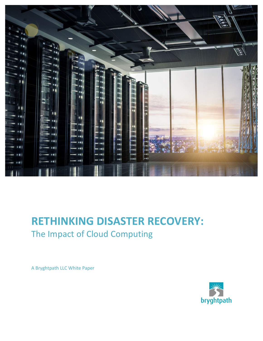

## **RETHINKING DISASTER RECOVERY:** The Impact of Cloud Computing

A Bryghtpath LLC White Paper

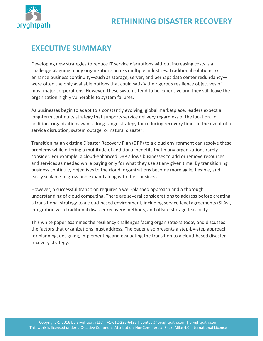

### **EXECUTIVE SUMMARY**

Developing new strategies to reduce IT service disruptions without increasing costs is a challenge plaguing many organizations across multiple industries. Traditional solutions to enhance business continuity—such as storage, server, and perhaps data center redundancy were often the only available options that could satisfy the rigorous resilience objectives of most major corporations. However, these systems tend to be expensive and they still leave the organization highly vulnerable to system failures.

As businesses begin to adapt to a constantly evolving, global marketplace, leaders expect a long-term continuity strategy that supports service delivery regardless of the location. In addition, organizations want a long-range strategy for reducing recovery times in the event of a service disruption, system outage, or natural disaster.

Transitioning an existing Disaster Recovery Plan (DRP) to a cloud environment can resolve these problems while offering a multitude of additional benefits that many organizations rarely consider. For example, a cloud-enhanced DRP allows businesses to add or remove resources and services as needed while paying only for what they use at any given time. By transitioning business continuity objectives to the cloud, organizations become more agile, flexible, and easily scalable to grow and expand along with their business.

However, a successful transition requires a well-planned approach and a thorough understanding of cloud computing. There are several considerations to address before creating a transitional strategy to a cloud-based environment, including service-level agreements (SLAs), integration with traditional disaster recovery methods, and offsite storage feasibility.

This white paper examines the resiliency challenges facing organizations today and discusses the factors that organizations must address. The paper also presents a step-by-step approach for planning, designing, implementing and evaluating the transition to a cloud-based disaster recovery strategy.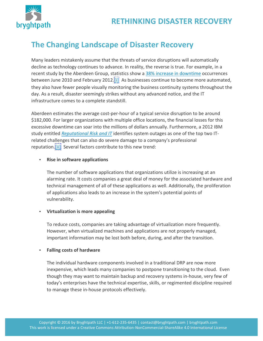



### **The Changing Landscape of Disaster Recovery**

Many leaders mistakenly assume that the threats of service disruptions will automatically decline as technology continues to advance. In reality, the reverse is true. For example, in a recent study by the Aberdeen Group, statistics show a 38% increase in downtime occurrences between June 2010 and February 2012.  $\begin{bmatrix} \dot{\mathbf{i}} \end{bmatrix}$  As businesses continue to become more automated, they also have fewer people visually monitoring the business continuity systems throughout the day. As a result, disaster seemingly strikes without any advanced notice, and the IT infrastructure comes to a complete standstill.

Aberdeen estimates the average cost-per-hour of a typical service disruption to be around \$182,000. For larger organizations with multiple office locations, the financial losses for this excessive downtime can soar into the millions of dollars annually. Furthermore, a 2012 IBM study entitled *Reputational Risk and IT* identifies system outages as one of the top two ITrelated challenges that can also do severe damage to a company's professional reputation.[ii] Several factors contribute to this new trend:

#### **•** Rise in software applications

The number of software applications that organizations utilize is increasing at an alarming rate. It costs companies a great deal of money for the associated hardware and technical management of all of these applications as well. Additionally, the proliferation of applications also leads to an increase in the system's potential points of vulnerability. 

#### **•** Virtualization is more appealing

To reduce costs, companies are taking advantage of virtualization more frequently. However, when virtualized machines and applications are not properly managed, important information may be lost both before, during, and after the transition.

#### • **Falling costs of hardware**

The individual hardware components involved in a traditional DRP are now more inexpensive, which leads many companies to postpone transitioning to the cloud. Even though they may want to maintain backup and recovery systems in-house, very few of today's enterprises have the technical expertise, skills, or regimented discipline required to manage these in-house protocols effectively.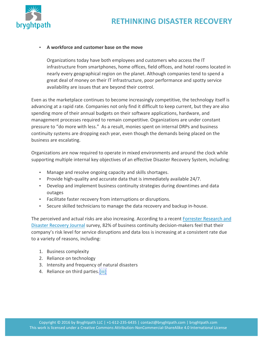



#### • **A workforce and customer base on the move**

Organizations today have both employees and customers who access the IT infrastructure from smartphones, home offices, field offices, and hotel rooms located in nearly every geographical region on the planet. Although companies tend to spend a great deal of money on their IT infrastructure, poor performance and spotty service availability are issues that are beyond their control.

Even as the marketplace continues to become increasingly competitive, the technology itself is advancing at a rapid rate. Companies not only find it difficult to keep current, but they are also spending more of their annual budgets on their software applications, hardware, and management processes required to remain competitive. Organizations are under constant pressure to "do more with less." As a result, monies spent on internal DRPs and business continuity systems are dropping each year, even though the demands being placed on the business are escalating.

Organizations are now required to operate in mixed environments and around the clock while supporting multiple internal key objectives of an effective Disaster Recovery System, including:

- Manage and resolve ongoing capacity and skills shortages.
- Provide high-quality and accurate data that is immediately available 24/7.
- Develop and implement business continuity strategies during downtimes and data outages
- Facilitate faster recovery from interruptions or disruptions.
- Secure skilled technicians to manage the data recovery and backup in-house.

The perceived and actual risks are also increasing. According to a recent Forrester Research and Disaster Recovery Journal survey, 82% of business continuity decision-makers feel that their company's risk level for service disruptions and data loss is increasing at a consistent rate due to a variety of reasons, including:

- 1. Business complexity
- 2. Reliance on technology
- 3. Intensity and frequency of natural disasters
- 4. Reliance on third parties.[iii]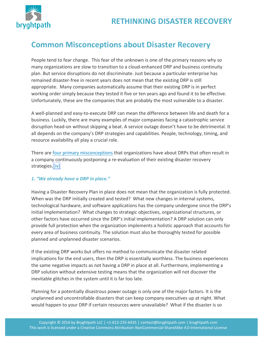

### **Common Misconceptions about Disaster Recovery**

People tend to fear change. This fear of the unknown is one of the primary reasons why so many organizations are slow to transition to a cloud-enhanced DRP and business continuity plan. But service disruptions do not discriminate. Just because a particular enterprise has remained disaster-free in recent years does not mean that the existing DRP is still appropriate. Many companies automatically assume that their existing DRP is in perfect working order simply because they tested it five or ten years ago and found it to be effective. Unfortunately, these are the companies that are probably the most vulnerable to a disaster.

A well-planned and easy-to-execute DRP can mean the difference between life and death for a business. Luckily, there are many examples of major companies facing a catastrophic service disruption head-on without skipping a beat. A service outage doesn't have to be detrimental. It all depends on the company's DRP strategies and capabilities. People, technology, timing, and resource availability all play a crucial role.

There are four primary misconceptions that organizations have about DRPs that often result in a company continuously postponing a re-evaluation of their existing disaster recovery strategies.[iv]

### *1. "We already have a DRP in place."*

Having a Disaster Recovery Plan in place does not mean that the organization is fully protected. When was the DRP initially created and tested? What new changes in internal systems, technological hardware, and software applications has the company undergone since the DRP's initial implementation? What changes to strategic objectives, organizational structures, or other factors have occurred since the DRP's initial implementation? A DRP solution can only provide full protection when the organization implements a holistic approach that accounts for every area of business continuity. The solution must also be thoroughly tested for possible planned and unplanned disaster scenarios.

If the existing DRP works but offers no method to communicate the disaster related implications for the end users, then the DRP is essentially worthless. The business experiences the same negative impacts as not having a DRP in place at all. Furthermore, implementing a DRP solution without extensive testing means that the organization will not discover the inevitable glitches in the system until it is far too late.

Planning for a potentially disastrous power outage is only one of the major factors. It is the unplanned and uncontrollable disasters that can keep company executives up at night. What would happen to your DRP if certain resources were unavailable? What if the disaster is so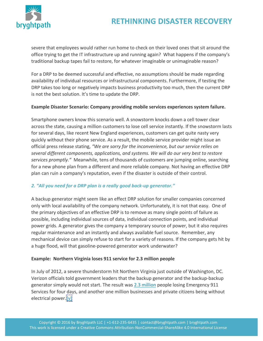

severe that employees would rather run home to check on their loved ones that sit around the office trying to get the IT infrastructure up and running again? What happens if the company's traditional backup tapes fail to restore, for whatever imaginable or unimaginable reason?

For a DRP to be deemed successful and effective, no assumptions should be made regarding availability of individual resources or infrastructural components. Furthermore, if testing the DRP takes too long or negatively impacts business productivity too much, then the current DRP is not the best solution. It's time to update the DRP.

#### **Example Disaster Scenario: Company providing mobile services experiences system failure.**

Smartphone owners know this scenario well. A snowstorm knocks down a cell tower clear across the state, causing a million customers to lose cell service instantly. If the snowstorm lasts for several days, like recent New England experiences, customers can get quite nasty very quickly without their phone service. As a result, the mobile service provider might issue an official press release stating, "We are sorry for the inconvenience, but our service relies on *several different components, applications, and systems. We will do our very best to restore* services promptly." Meanwhile, tens of thousands of customers are jumping online, searching for a new phone plan from a different and more reliable company. Not having an effective DRP plan can ruin a company's reputation, even if the disaster is outside of their control.

### 2. "All you need for a DRP plan is a really good back-up generator."

A backup generator might seem like an effect DRP solution for smaller companies concerned only with local availability of the company network. Unfortunately, it is not that easy. One of the primary objectives of an effective DRP is to remove as many single points of failure as possible, including individual sources of data, individual connection points, and individual power grids. A generator gives the company a temporary source of power, but it also requires regular maintenance and an instantly and always available fuel source. Remember, any mechanical device can simply refuse to start for a variety of reasons. If the company gets hit by a huge flood, will that gasoline-powered generator work underwater?

### **Example: Northern Virginia loses 911 service for 2.3 million people**

In July of 2012, a severe thunderstorm hit Northern Virginia just outside of Washington, DC. Verizon officials told government leaders that the backup generator and the backup-backup generator simply would not start. The result was 2.3 million people losing Emergency 911 Services for four days, and another one million businesses and private citizens being without electrical power.<sup>[v]</sup>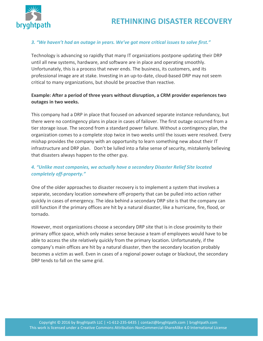

### 3. "We haven't had an outage in years. We've got more critical issues to solve first."

Technology is advancing so rapidly that many IT organizations postpone updating their DRP until all new systems, hardware, and software are in place and operating smoothly. Unfortunately, this is a process that never ends. The business, its customers, and its professional image are at stake. Investing in an up-to-date, cloud-based DRP may not seem critical to many organizations, but should be proactive than reactive.

### **Example: After a period of three years without disruption, a CRM provider experiences two outages in two weeks.**

This company had a DRP in place that focused on advanced separate instance redundancy, but there were no contingency plans in place in cases of failover. The first outage occurred from a tier storage issue. The second from a standard power failure. Without a contingency plan, the organization comes to a complete stop twice in two weeks until the issues were resolved. Every mishap provides the company with an opportunity to learn something new about their IT infrastructure and DRP plan. Don't be lulled into a false sense of security, mistakenly believing that disasters always happen to the other guy.

### **4.** "Unlike most companies, we actually have a secondary Disaster Relief Site located *completely off-property."*

One of the older approaches to disaster recovery is to implement a system that involves a separate, secondary location somewhere off-property that can be pulled into action rather quickly in cases of emergency. The idea behind a secondary DRP site is that the company can still function if the primary offices are hit by a natural disaster, like a hurricane, fire, flood, or tornado.

However, most organizations choose a secondary DRP site that is in close proximity to their primary office space, which only makes sense because a team of employees would have to be able to access the site relatively quickly from the primary location. Unfortunately, if the company's main offices are hit by a natural disaster, then the secondary location probably becomes a victim as well. Even in cases of a regional power outage or blackout, the secondary DRP tends to fall on the same grid.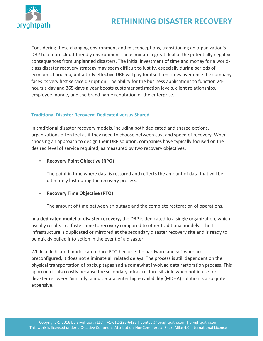

Considering these changing environment and misconceptions, transitioning an organization's DRP to a more cloud-friendly environment can eliminate a great deal of the potentially negative consequences from unplanned disasters. The initial investment of time and money for a worldclass disaster recovery strategy may seem difficult to justify, especially during periods of economic hardship, but a truly effective DRP will pay for itself ten times over once the company faces its very first service disruption. The ability for the business applications to function 24hours a day and 365-days a year boosts customer satisfaction levels, client relationships, employee morale, and the brand name reputation of the enterprise.

### **Traditional Disaster Recovery: Dedicated versus Shared**

In traditional disaster recovery models, including both dedicated and shared options, organizations often feel as if they need to choose between cost and speed of recovery. When choosing an approach to design their DRP solution, companies have typically focused on the desired level of service required, as measured by two recovery objectives:

#### • **Recovery Point Objective (RPO)**

The point in time where data is restored and reflects the amount of data that will be ultimately lost during the recovery process.

### • **Recovery Time Objective (RTO)**

The amount of time between an outage and the complete restoration of operations.

**In a dedicated model of disaster recovery,** the DRP is dedicated to a single organization, which usually results in a faster time to recovery compared to other traditional models. The IT infrastructure is duplicated or mirrored at the secondary disaster recovery site and is ready to be quickly pulled into action in the event of a disaster.

While a dedicated model can reduce RTO because the hardware and software are preconfigured, it does not eliminate all related delays. The process is still dependent on the physical transportation of backup tapes and a somewhat involved data restoration process. This approach is also costly because the secondary infrastructure sits idle when not in use for disaster recovery. Similarly, a multi-datacenter high-availability (MDHA) solution is also quite expensive.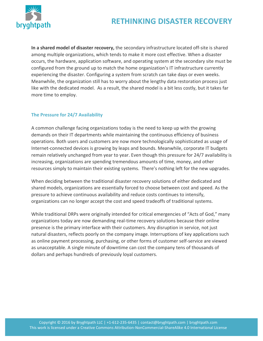

**In a shared model of disaster recovery,** the secondary infrastructure located off-site is shared among multiple organizations, which tends to make it more cost effective. When a disaster occurs, the hardware, application software, and operating system at the secondary site must be configured from the ground up to match the home organization's IT infrastructure currently experiencing the disaster. Configuring a system from scratch can take days or even weeks. Meanwhile, the organization still has to worry about the lengthy data restoration process just like with the dedicated model. As a result, the shared model is a bit less costly, but it takes far more time to employ.

### **The Pressure for 24/7 Availability**

A common challenge facing organizations today is the need to keep up with the growing demands on their IT departments while maintaining the continuous efficiency of business operations. Both users and customers are now more technologically sophisticated as usage of Internet-connected devices is growing by leaps and bounds. Meanwhile, corporate IT budgets remain relatively unchanged from year to year. Even though this pressure for 24/7 availability is increasing, organizations are spending tremendous amounts of time, money, and other resources simply to maintain their existing systems. There's nothing left for the new upgrades.

When deciding between the traditional disaster recovery solutions of either dedicated and shared models, organizations are essentially forced to choose between cost and speed. As the pressure to achieve continuous availability and reduce costs continues to intensify, organizations can no longer accept the cost and speed tradeoffs of traditional systems.

While traditional DRPs were originally intended for critical emergencies of "Acts of God," many organizations today are now demanding real-time recovery solutions because their online presence is the primary interface with their customers. Any disruption in service, not just natural disasters, reflects poorly on the company image. Interruptions of key applications such as online payment processing, purchasing, or other forms of customer self-service are viewed as unacceptable. A single minute of downtime can cost the company tens of thousands of dollars and perhaps hundreds of previously loyal customers.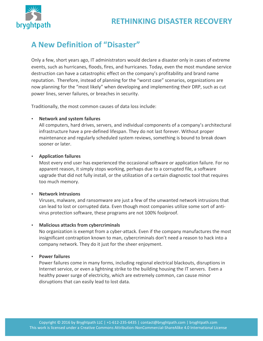

### **A New Definition of "Disaster"**

Only a few, short years ago, IT administrators would declare a disaster only in cases of extreme events, such as hurricanes, floods, fires, and hurricanes. Today, even the most mundane service destruction can have a catastrophic effect on the company's profitability and brand name reputation. Therefore, instead of planning for the "worst case" scenarios, organizations are now planning for the "most likely" when developing and implementing their DRP, such as cut power lines, server failures, or breaches in security.

Traditionally, the most common causes of data loss include:

### **Network and system failures**

All computers, hard drives, servers, and individual components of a company's architectural infrastructure have a pre-defined lifespan. They do not last forever. Without proper maintenance and regularly scheduled system reviews, something is bound to break down sooner or later.

#### • **Application failures**

Most every end user has experienced the occasional software or application failure. For no apparent reason, it simply stops working, perhaps due to a corrupted file, a software upgrade that did not fully install, or the utilization of a certain diagnostic tool that requires too much memory.

#### • **Network intrusions**

Viruses, malware, and ransomware are just a few of the unwanted network intrusions that can lead to lost or corrupted data. Even though most companies utilize some sort of antivirus protection software, these programs are not 100% foolproof.

### • **Malicious attacks from cybercriminals**

No organization is exempt from a cyber-attack. Even if the company manufactures the most insignificant contraption known to man, cybercriminals don't need a reason to hack into a company network. They do it just for the sheer enjoyment.

#### • **Power failures**

Power failures come in many forms, including regional electrical blackouts, disruptions in Internet service, or even a lightning strike to the building housing the IT servers. Even a healthy power surge of electricity, which are extremely common, can cause minor disruptions that can easily lead to lost data.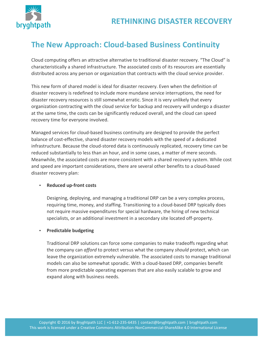

### **The New Approach: Cloud-based Business Continuity**

Cloud computing offers an attractive alternative to traditional disaster recovery. "The Cloud" is characteristically a shared infrastructure. The associated costs of its resources are essentially distributed across any person or organization that contracts with the cloud service provider.

This new form of shared model is ideal for disaster recovery. Even when the definition of disaster recovery is redefined to include more mundane service interruptions, the need for disaster recovery resources is still somewhat erratic. Since it is very unlikely that every organization contracting with the cloud service for backup and recovery will undergo a disaster at the same time, the costs can be significantly reduced overall, and the cloud can speed recovery time for everyone involved.

Managed services for cloud-based business continuity are designed to provide the perfect balance of cost-effective, shared disaster recovery models with the speed of a dedicated infrastructure. Because the cloud-stored data is continuously replicated, recovery time can be reduced substantially to less than an hour, and in some cases, a matter of mere seconds. Meanwhile, the associated costs are more consistent with a shared recovery system. While cost and speed are important considerations, there are several other benefits to a cloud-based disaster recovery plan:

#### • **Reduced up-front costs**

Designing, deploying, and managing a traditional DRP can be a very complex process, requiring time, money, and staffing. Transitioning to a cloud-based DRP typically does not require massive expenditures for special hardware, the hiring of new technical specialists, or an additional investment in a secondary site located off-property.

### **•** Predictable budgeting

Traditional DRP solutions can force some companies to make tradeoffs regarding what the company can *afford* to protect versus what the company *should* protect, which can leave the organization extremely vulnerable. The associated costs to manage traditional models can also be somewhat sporadic. With a cloud-based DRP, companies benefit from more predictable operating expenses that are also easily scalable to grow and expand along with business needs.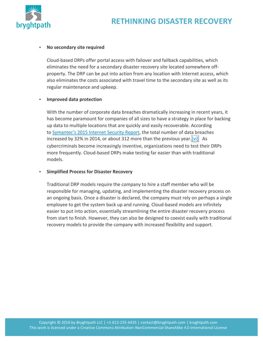



#### **No secondary site required**

Cloud-based DRPs offer portal access with failover and failback capabilities, which eliminates the need for a secondary disaster recovery site located somewhere offproperty. The DRP can be put into action from any location with Internet access, which also eliminates the costs associated with travel time to the secondary site as well as its regular maintenance and upkeep.

#### • **Improved data protection**

With the number of corporate data breaches dramatically increasing in recent years, it has become paramount for companies of all sizes to have a strategy in place for backing up data to multiple locations that are quickly and easily recoverable. According to Symantec's 2015 Internet Security Report, the total number of data breaches increased by 32% in 2014, or about 312 more than the previous year.<sup>[vi]</sup> As cybercriminals become increasingly inventive, organizations need to test their DRPs more frequently. Cloud-based DRPs make testing far easier than with traditional models.

#### • **Simplified Process for Disaster Recovery**

Traditional DRP models require the company to hire a staff member who will be responsible for managing, updating, and implementing the disaster recovery process on an ongoing basis. Once a disaster is declared, the company must rely on perhaps a single employee to get the system back up and running. Cloud-based models are infinitely easier to put into action, essentially streamlining the entire disaster recovery process from start to finish. However, they can also be designed to coexist easily with traditional recovery models to provide the company with increased flexibility and support.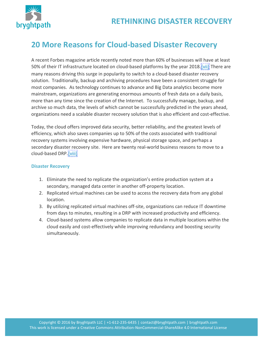

### **20 More Reasons for Cloud-based Disaster Recovery**

A recent Forbes magazine article recently noted more than 60% of businesses will have at least 50% of their IT infrastructure located on cloud-based platforms by the year 2018.[vii] There are many reasons driving this surge in popularity to switch to a cloud-based disaster recovery solution. Traditionally, backup and archiving procedures have been a consistent struggle for most companies. As technology continues to advance and Big Data analytics become more mainstream, organizations are generating enormous amounts of fresh data on a daily basis, more than any time since the creation of the Internet. To successfully manage, backup, and archive so much data, the levels of which cannot be successfully predicted in the years ahead, organizations need a scalable disaster recovery solution that is also efficient and cost-effective.

Today, the cloud offers improved data security, better reliability, and the greatest levels of efficiency, which also saves companies up to 50% of the costs associated with traditional recovery systems involving expensive hardware, physical storage space, and perhaps a secondary disaster recovery site. Here are twenty real-world business reasons to move to a cloud-based DRP.[viii]

#### **Disaster Recovery**

- 1. Eliminate the need to replicate the organization's entire production system at a secondary, managed data center in another off-property location.
- 2. Replicated virtual machines can be used to access the recovery data from any global location.
- 3. By utilizing replicated virtual machines off-site, organizations can reduce IT downtime from days to minutes, resulting in a DRP with increased productivity and efficiency.
- 4. Cloud-based systems allow companies to replicate data in multiple locations within the cloud easily and cost-effectively while improving redundancy and boosting security simultaneously.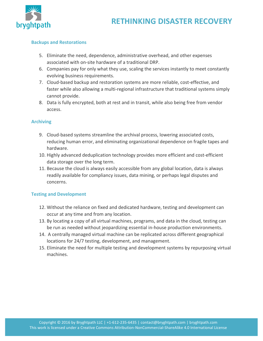

#### **Backups and Restorations**

- 5. Eliminate the need, dependence, administrative overhead, and other expenses associated with on-site hardware of a traditional DRP.
- 6. Companies pay for only what they use, scaling the services instantly to meet constantly evolving business requirements.
- 7. Cloud-based backup and restoration systems are more reliable, cost-effective, and faster while also allowing a multi-regional infrastructure that traditional systems simply cannot provide.
- 8. Data is fully encrypted, both at rest and in transit, while also being free from vendor access.

#### **Archiving**

- 9. Cloud-based systems streamline the archival process, lowering associated costs, reducing human error, and eliminating organizational dependence on fragile tapes and hardware.
- 10. Highly advanced deduplication technology provides more efficient and cost-efficient data storage over the long term.
- 11. Because the cloud is always easily accessible from any global location, data is always readily available for compliancy issues, data mining, or perhaps legal disputes and concerns.

#### **Testing and Development**

- 12. Without the reliance on fixed and dedicated hardware, testing and development can occur at any time and from any location.
- 13. By locating a copy of all virtual machines, programs, and data in the cloud, testing can be run as needed without jeopardizing essential in-house production environments.
- 14. A centrally managed virtual machine can be replicated across different geographical locations for 24/7 testing, development, and management.
- 15. Eliminate the need for multiple testing and development systems by repurposing virtual machines.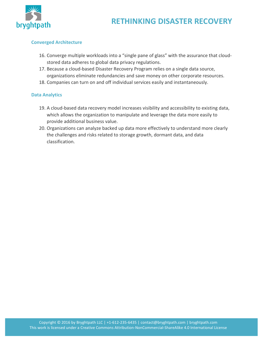

#### **Converged Architecture**

- 16. Converge multiple workloads into a "single pane of glass" with the assurance that cloudstored data adheres to global data privacy regulations.
- 17. Because a cloud-based Disaster Recovery Program relies on a single data source, organizations eliminate redundancies and save money on other corporate resources.
- 18. Companies can turn on and off individual services easily and instantaneously.

#### **Data Analytics**

- 19. A cloud-based data recovery model increases visibility and accessibility to existing data, which allows the organization to manipulate and leverage the data more easily to provide additional business value.
- 20. Organizations can analyze backed up data more effectively to understand more clearly the challenges and risks related to storage growth, dormant data, and data classification.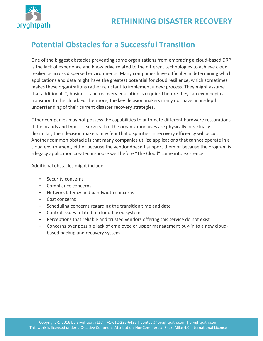



### **Potential Obstacles for a Successful Transition**

One of the biggest obstacles preventing some organizations from embracing a cloud-based DRP is the lack of experience and knowledge related to the different technologies to achieve cloud resilience across dispersed environments. Many companies have difficulty in determining which applications and data might have the greatest potential for cloud resilience, which sometimes makes these organizations rather reluctant to implement a new process. They might assume that additional IT, business, and recovery education is required before they can even begin a transition to the cloud. Furthermore, the key decision makers many not have an in-depth understanding of their current disaster recovery strategies.

Other companies may not possess the capabilities to automate different hardware restorations. If the brands and types of servers that the organization uses are physically or virtually dissimilar, then decision makers may fear that disparities in recovery efficiency will occur. Another common obstacle is that many companies utilize applications that cannot operate in a cloud environment, either because the vendor doesn't support them or because the program is a legacy application created in-house well before "The Cloud" came into existence.

Additional obstacles might include:

- Security concerns
- Compliance concerns
- Network latency and bandwidth concerns
- Cost concerns
- Scheduling concerns regarding the transition time and date
- Control issues related to cloud-based systems
- Perceptions that reliable and trusted vendors offering this service do not exist
- Concerns over possible lack of employee or upper management buy-in to a new cloudbased backup and recovery system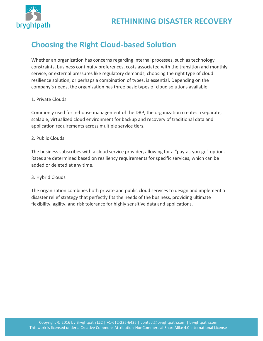

### **Choosing the Right Cloud-based Solution**

Whether an organization has concerns regarding internal processes, such as technology constraints, business continuity preferences, costs associated with the transition and monthly service, or external pressures like regulatory demands, choosing the right type of cloud resilience solution, or perhaps a combination of types, is essential. Depending on the company's needs, the organization has three basic types of cloud solutions available:

#### 1. Private Clouds

Commonly used for in-house management of the DRP, the organization creates a separate, scalable, virtualized cloud environment for backup and recovery of traditional data and application requirements across multiple service tiers.

#### 2. Public Clouds

The business subscribes with a cloud service provider, allowing for a "pay-as-you-go" option. Rates are determined based on resiliency requirements for specific services, which can be added or deleted at any time.

#### 3. Hybrid Clouds

The organization combines both private and public cloud services to design and implement a disaster relief strategy that perfectly fits the needs of the business, providing ultimate flexibility, agility, and risk tolerance for highly sensitive data and applications.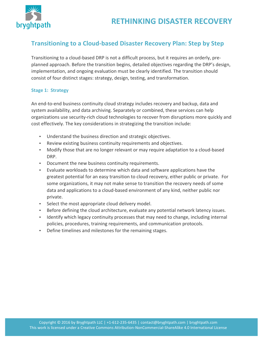

### **Transitioning to a Cloud-based Disaster Recovery Plan: Step by Step**

Transitioning to a cloud-based DRP is not a difficult process, but it requires an orderly, preplanned approach. Before the transition begins, detailed objectives regarding the DRP's design, implementation, and ongoing evaluation must be clearly identified. The transition should consist of four distinct stages: strategy, design, testing, and transformation.

#### **Stage 1: Strategy**

An end-to-end business continuity cloud strategy includes recovery and backup, data and system availability, and data archiving. Separately or combined, these services can help organizations use security-rich cloud technologies to recover from disruptions more quickly and cost effectively. The key considerations in strategizing the transition include:

- Understand the business direction and strategic objectives.
- Review existing business continuity requirements and objectives.
- Modify those that are no longer relevant or may require adaptation to a cloud-based DRP.
- Document the new business continuity requirements.
- Evaluate workloads to determine which data and software applications have the greatest potential for an easy transition to cloud recovery, either public or private. For some organizations, it may not make sense to transition the recovery needs of some data and applications to a cloud-based environment of any kind, neither public nor private.
- Select the most appropriate cloud delivery model.
- Before defining the cloud architecture, evaluate any potential network latency issues.
- Identify which legacy continuity processes that may need to change, including internal policies, procedures, training requirements, and communication protocols.
- Define timelines and milestones for the remaining stages.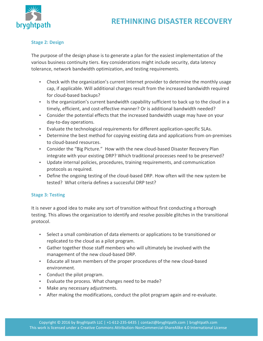

#### **Stage 2: Design**

The purpose of the design phase is to generate a plan for the easiest implementation of the various business continuity tiers. Key considerations might include security, data latency tolerance, network bandwidth optimization, and testing requirements.

- Check with the organization's current Internet provider to determine the monthly usage cap, if applicable. Will additional charges result from the increased bandwidth required for cloud-based backups?
- Is the organization's current bandwidth capability sufficient to back up to the cloud in a timely, efficient, and cost-effective manner? Or is additional bandwidth needed?
- Consider the potential effects that the increased bandwidth usage may have on your day-to-day operations.
- Evaluate the technological requirements for different application-specific SLAs.
- Determine the best method for copying existing data and applications from on-premises to cloud-based resources.
- Consider the "Big Picture." How with the new cloud-based Disaster Recovery Plan integrate with your existing DRP? Which traditional processes need to be preserved?
- Update internal policies, procedures, training requirements, and communication protocols as required.
- Define the ongoing testing of the cloud-based DRP. How often will the new system be tested? What criteria defines a successful DRP test?

### **Stage 3: Testing**

It is never a good idea to make any sort of transition without first conducting a thorough testing. This allows the organization to identify and resolve possible glitches in the transitional protocol.

- Select a small combination of data elements or applications to be transitioned or replicated to the cloud as a pilot program.
- Gather together those staff members who will ultimately be involved with the management of the new cloud-based DRP.
- Educate all team members of the proper procedures of the new cloud-based environment.
- Conduct the pilot program.
- Evaluate the process. What changes need to be made?
- Make any necessary adjustments.
- After making the modifications, conduct the pilot program again and re-evaluate.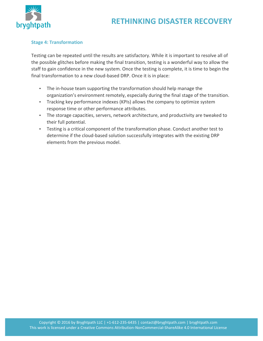

#### **Stage 4: Transformation**

Testing can be repeated until the results are satisfactory. While it is important to resolve all of the possible glitches before making the final transition, testing is a wonderful way to allow the staff to gain confidence in the new system. Once the testing is complete, it is time to begin the final transformation to a new cloud-based DRP. Once it is in place:

- The in-house team supporting the transformation should help manage the organization's environment remotely, especially during the final stage of the transition.
- Tracking key performance indexes (KPIs) allows the company to optimize system response time or other performance attributes.
- The storage capacities, servers, network architecture, and productivity are tweaked to their full potential.
- Testing is a critical component of the transformation phase. Conduct another test to determine if the cloud-based solution successfully integrates with the existing DRP elements from the previous model.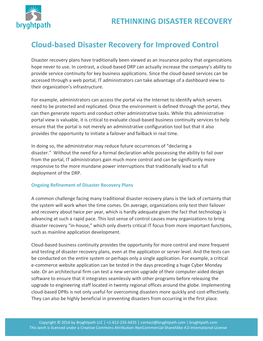

### **Cloud-based Disaster Recovery for Improved Control**

Disaster recovery plans have traditionally been viewed as an insurance policy that organizations hope never to use. In contrast, a cloud-based DRP can actually increase the company's ability to provide service continuity for key business applications. Since the cloud-based services can be accessed through a web portal, IT administrators can take advantage of a dashboard view to their organization's infrastructure.

For example, administrators can access the portal via the Internet to identify which servers need to be protected and replicated. Once the environment is defined through the portal, they can then generate reports and conduct other administrative tasks. While this administrative portal view is valuable, it is critical to evaluate cloud-based business continuity services to help ensure that the portal is not merely an administrative configuration tool but that it also provides the opportunity to initiate a failover and failback in real time.

In doing so, the administrator may reduce future occurrences of "declaring a disaster." Without the need for a formal declaration while possessing the ability to fail over from the portal, IT administrators gain much more control and can be significantly more responsive to the more mundane power interruptions that traditionally lead to a full deployment of the DRP.

### **Ongoing Refinement of Disaster Recovery Plans**

A common challenge facing many traditional disaster recovery plans is the lack of certainty that the system will work when the time comes. On average, organizations only test their failover and recovery about twice per year, which is hardly adequate given the fact that technology is advancing at such a rapid pace. This lost sense of control causes many organizations to bring disaster recovery "in-house," which only diverts critical IT focus from more important functions, such as mainline application development.

Cloud-based business continuity provides the opportunity for more control and more frequent and testing of disaster recovery plans, even at the application or server level. And the tests can be conducted on the entire system or perhaps only a single application. For example, a critical e-commerce website application can be tested in the days preceding a huge Cyber Monday sale. Or an architectural firm can test a new version upgrade of their computer-aided design software to ensure that it integrates seamlessly with other programs before releasing the upgrade to engineering staff located in twenty regional offices around the globe. Implementing cloud-based DPRs is not only useful for overcoming disasters more quickly and cost-effectively. They can also be highly beneficial in preventing disasters from occurring in the first place.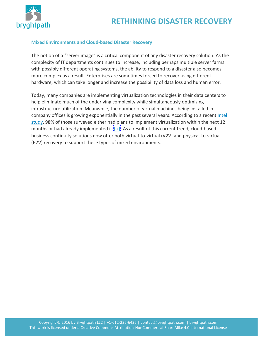

#### **Mixed Environments and Cloud-based Disaster Recovery**

The notion of a "server image" is a critical component of any disaster recovery solution. As the complexity of IT departments continues to increase, including perhaps multiple server farms with possibly different operating systems, the ability to respond to a disaster also becomes more complex as a result. Enterprises are sometimes forced to recover using different hardware, which can take longer and increase the possibility of data loss and human error.

Today, many companies are implementing virtualization technologies in their data centers to help eliminate much of the underlying complexity while simultaneously optimizing infrastructure utilization. Meanwhile, the number of virtual machines being installed in company offices is growing exponentially in the past several years. According to a recent Intel study, 98% of those surveyed either had plans to implement virtualization within the next 12 months or had already implemented it. $\frac{||\mathbf{x}||}{||\mathbf{x}||}$  As a result of this current trend, cloud-based business continuity solutions now offer both virtual-to-virtual (V2V) and physical-to-virtual (P2V) recovery to support these types of mixed environments.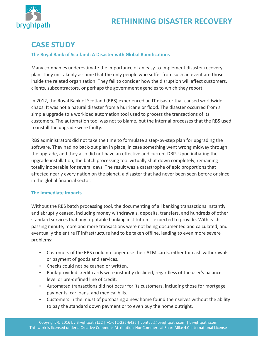

### **CASE STUDY**

#### **The Royal Bank of Scotland: A Disaster with Global Ramifications**

Many companies underestimate the importance of an easy-to-implement disaster recovery plan. They mistakenly assume that the only people who suffer from such an event are those inside the related organization. They fail to consider how the disruption will affect customers, clients, subcontractors, or perhaps the government agencies to which they report.

In 2012, the Royal Bank of Scotland (RBS) experienced an IT disaster that caused worldwide chaos. It was not a natural disaster from a hurricane or flood. The disaster occurred from a simple upgrade to a workload automation tool used to process the transactions of its customers. The automation tool was not to blame, but the internal processes that the RBS used to install the upgrade were faulty.

RBS administrators did not take the time to formulate a step-by-step plan for upgrading the software. They had no back-out plan in place, in case something went wrong midway through the upgrade, and they also did not have an effective and current DRP. Upon initiating the upgrade installation, the batch processing tool virtually shut down completely, remaining totally inoperable for several days. The result was a catastrophe of epic proportions that affected nearly every nation on the planet, a disaster that had never been seen before or since in the global financial sector.

#### **The Immediate Impacts**

Without the RBS batch processing tool, the documenting of all banking transactions instantly and abruptly ceased, including money withdrawals, deposits, transfers, and hundreds of other standard services that any reputable banking institution is expected to provide. With each passing minute, more and more transactions were not being documented and calculated, and eventually the entire IT infrastructure had to be taken offline, leading to even more severe problems:

- Customers of the RBS could no longer use their ATM cards, either for cash withdrawals or payment of goods and services.
- Checks could not be cashed or written.
- Bank-provided credit cards were instantly declined, regardless of the user's balance level or pre-defined line of credit.
- Automated transactions did not occur for its customers, including those for mortgage payments, car loans, and medical bills.
- Customers in the midst of purchasing a new home found themselves without the ability to pay the standard down payment or to even buy the home outright.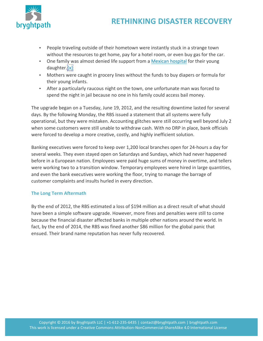

- People traveling outside of their hometown were instantly stuck in a strange town without the resources to get home, pay for a hotel room, or even buy gas for the car.
- One family was almost denied life support from a Mexican hospital for their young daughter.[x]
- Mothers were caught in grocery lines without the funds to buy diapers or formula for their young infants.
- After a particularly raucous night on the town, one unfortunate man was forced to spend the night in jail because no one in his family could access bail money.

The upgrade began on a Tuesday, June 19, 2012, and the resulting downtime lasted for several days. By the following Monday, the RBS issued a statement that all systems were fully operational, but they were mistaken. Accounting glitches were still occurring well beyond July 2 when some customers were still unable to withdraw cash. With no DRP in place, bank officials were forced to develop a more creative, costly, and highly inefficient solution.

Banking executives were forced to keep over 1,200 local branches open for 24-hours a day for several weeks. They even stayed open on Saturdays and Sundays, which had never happened before in a European nation. Employees were paid huge sums of money in overtime, and tellers were working two to a transition window. Temporary employees were hired in large quantities, and even the bank executives were working the floor, trying to manage the barrage of customer complaints and insults hurled in every direction.

### **The Long Term Aftermath**

By the end of 2012, the RBS estimated a loss of \$194 million as a direct result of what should have been a simple software upgrade. However, more fines and penalties were still to come because the financial disaster affected banks in multiple other nations around the world. In fact, by the end of 2014, the RBS was fined another \$86 million for the global panic that ensued. Their brand name reputation has never fully recovered.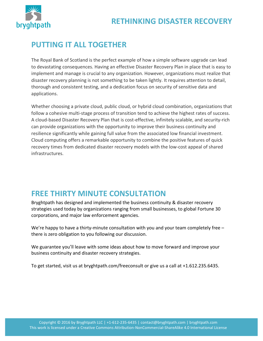

### **PUTTING IT ALL TOGETHER**

The Royal Bank of Scotland is the perfect example of how a simple software upgrade can lead to devastating consequences. Having an effective Disaster Recovery Plan in place that is easy to implement and manage is crucial to any organization. However, organizations must realize that disaster recovery planning is not something to be taken lightly. It requires attention to detail, thorough and consistent testing, and a dedication focus on security of sensitive data and applications.

Whether choosing a private cloud, public cloud, or hybrid cloud combination, organizations that follow a cohesive multi-stage process of transition tend to achieve the highest rates of success. A cloud-based Disaster Recovery Plan that is cost-effective, infinitely scalable, and security-rich can provide organizations with the opportunity to improve their business continuity and resilience significantly while gaining full value from the associated low financial investment. Cloud computing offers a remarkable opportunity to combine the positive features of quick recovery times from dedicated disaster recovery models with the low-cost appeal of shared infrastructures.

### **FREE THIRTY MINUTE CONSULTATION**

Bryghtpath has designed and implemented the business continuity & disaster recovery strategies used today by organizations ranging from small businesses, to global Fortune 30 corporations, and major law enforcement agencies.

We're happy to have a thirty-minute consultation with you and your team completely free  $$ there is zero obligation to you following our discussion.

We guarantee you'll leave with some ideas about how to move forward and improve your business continuity and disaster recovery strategies.

To get started, visit us at bryghtpath.com/freeconsult or give us a call at  $+1.612.235.6435$ .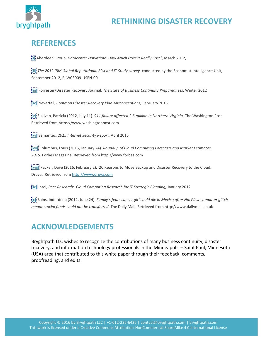

### **REFERENCES**

[i] Aberdeen Group, *Datacenter Downtime: How Much Does It Really Cost?,* March 2012,

[iii] The 2012 IBM Global Reputational Risk and IT Study survey, conducted by the Economist Intelligence Unit, September 2012, RLW03009-USEN-00

[iiii] Forrester/Disaster Recovery Journal, *The State of Business Continuity Preparedness*, Winter 2012

[iv] Neverfail, *Common Disaster Recovery Plan Misconceptions*, February 2013

[v] Sullivan, Patricia (2012, July 11). *911 failure affected 2.3 million in Northern Virginia*. The Washington Post. Retrieved from https://www.washingtonpost.com

[vi] Semantec, *2015 Internet Security Report,* April 2015

[vii] Columbus, Louis (2015, January 24). *Roundup of Cloud Computing Forecasts and Market Estimates,* 2015. Forbes Magazine. Retrieved from http://www.forbes.com

[[viii] Packer, Dave (2016, February 2). 20 Reasons to Move Backup and Disaster Recovery to the Cloud. Druva. Retrieved from http://www.druva.com

[ix] Intel, Peer Research: Cloud Computing Research for IT Strategic Planning, January 2012

[x] Bains, Inderdeep (2012, June 24). *Family's fears cancer girl could die in Mexico after NatWest computer glitch meant crucial funds could not be transferred.* The Daily Mail. Retrieved from http://www.dailymail.co.uk

### **ACKNOWLEDGEMENTS**

Bryghtpath LLC wishes to recognize the contributions of many business continuity, disaster recovery, and information technology professionals in the Minneapolis – Saint Paul, Minnesota (USA) area that contributed to this white paper through their feedback, comments, proofreading, and edits.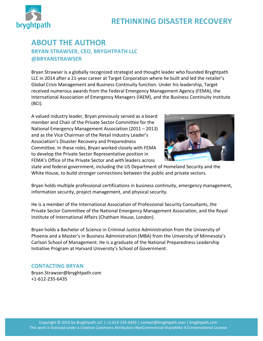

### **ABOUT THE AUTHOR BRYAN STRAWSER, CEO, BRYGHTPATH LLC @BRYANSTRAWSER**

Bryan Strawser is a globally recognized strategist and thought leader who founded Bryghtpath LLC in 2014 after a 21-year career at Target Corporation where he built and led the retailer's Global Crisis Management and Business Continuity function. Under his leadership, Target received numerous awards from the Federal Emergency Management Agency (FEMA), the International Association of Emergency Managers (IAEM), and the Business Continuity Institute (BCI).

A valued industry leader, Bryan previously served as a board member and Chair of the Private Sector Committee for the National Emergency Management Association (2011 – 2013) and as the Vice Chairman of the Retail Industry Leader's Association's Disaster Recovery and Preparedness Committee. In these roles, Bryan worked closely with FEMA to develop the Private Sector Representative position in FEMA's Office of the Private Sector and with leaders across



27

state and federal government, including the US Department of Homeland Security and the White House, to build stronger connections between the public and private sectors.

Bryan holds multiple professional certifications in business continuity, emergency management, information security, project management, and physical security.

He is a member of the International Association of Professional Security Consultants, the Private Sector Committee of the National Emergency Management Association, and the Royal Institute of International Affairs (Chatham House, London).

Bryan holds a Bachelor of Science in Criminal Justice Administration from the University of Phoenix and a Master's in Business Administration (MBA) from the University of Minnesota's Carlson School of Management. He is a graduate of the National Preparedness Leadership Initiative Program at Harvard University's School of Government.

### **CONTACTING BRYAN**

Bryan.Strawser@bryghtpath.com +1-612-235-6435